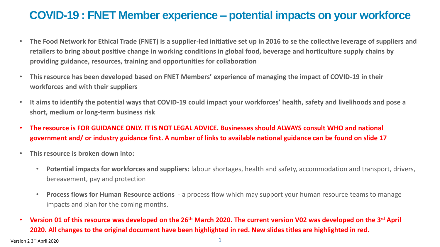### **COVID-19 : FNET Member experience – potential impacts on your workforce**

- **The Food Network for Ethical Trade (FNET) is a supplier-led initiative set up in 2016 to se the collective leverage of suppliers and retailers to bring about positive change in working conditions in global food, beverage and horticulture supply chains by providing guidance, resources, training and opportunities for collaboration**
- **This resource has been developed based on FNET Members' experience of managing the impact of COVID-19 in their workforces and with their suppliers**
- **It aims to identify the potential ways that COVID-19 could impact your workforces' health, safety and livelihoods and pose a short, medium or long-term business risk**
- **The resource is FOR GUIDANCE ONLY. IT IS NOT LEGAL ADVICE. Businesses should ALWAYS consult WHO and national government and/ or industry guidance first. A number of links to available national guidance can be found on slide 17**
- **This resource is broken down into:**
	- **Potential impacts for workforces and suppliers:** labour shortages, health and safety, accommodation and transport, drivers, bereavement, pay and protection
	- **Process flows for Human Resource actions** a process flow which may support your human resource teams to manage impacts and plan for the coming months.
- **Version 01 of this resource was developed on the 26th March 2020. The current version V02 was developed on the 3rd April 2020. All changes to the original document have been highlighted in red. New slides titles are highlighted in red.**

Version 2  $3<sup>rd</sup>$  April 2020 1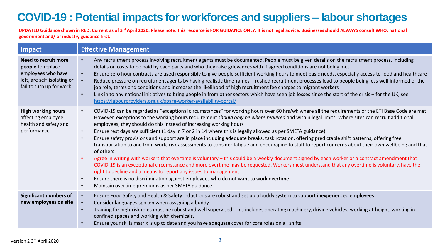# **COVID-19 : Potential impacts for workforces and suppliers – labour shortages**

| Impact                                                                                                                     | <b>Effective Management</b>                                                                                                                                                                                                                                                                                                                                                                                                                                                                                                                                                                                                                                                                                                                                                                                                                                                                                                                                                                                                                                                                                                                                                                                                                                                                                                                                                                      |
|----------------------------------------------------------------------------------------------------------------------------|--------------------------------------------------------------------------------------------------------------------------------------------------------------------------------------------------------------------------------------------------------------------------------------------------------------------------------------------------------------------------------------------------------------------------------------------------------------------------------------------------------------------------------------------------------------------------------------------------------------------------------------------------------------------------------------------------------------------------------------------------------------------------------------------------------------------------------------------------------------------------------------------------------------------------------------------------------------------------------------------------------------------------------------------------------------------------------------------------------------------------------------------------------------------------------------------------------------------------------------------------------------------------------------------------------------------------------------------------------------------------------------------------|
| Need to recruit more<br>people to replace<br>employees who have<br>left, are self-isolating or<br>fail to turn up for work | Any recruitment process involving recruitment agents must be documented. People must be given details on the recruitment process, including<br>details on costs to be paid by each party and who they raise grievances with if agreed conditions are not being met<br>Ensure zero hour contracts are used responsibly to give people sufficient working hours to meet basic needs, especially access to food and healthcare<br>$\bullet$<br>Reduce pressure on recruitment agents by having realistic timeframes - rushed recruitment processes lead to people being less well informed of the<br>$\bullet$<br>job role, terms and conditions and increases the likelihood of high recruitment fee charges to migrant workers<br>Link in to any national initiatives to bring people in from other sectors which have seen job losses since the start of the crisis - for the UK, see<br>$\bullet$<br>https://labourproviders.org.uk/spare-worker-availability-portal/                                                                                                                                                                                                                                                                                                                                                                                                                           |
| <b>High working hours</b><br>affecting employee<br>health and safety and<br>performance                                    | COVID-19 can be regarded as "exceptional circumstances" for working hours over 60 hrs/wk where all the requirements of the ETI Base Code are met.<br>$\bullet$<br>However, exceptions to the working hours requirement should only be where required and within legal limits. Where sites can recruit additional<br>employees, they should do this instead of increasing working hours<br>Ensure rest days are sufficient (1 day in 7 or 2 in 14 where this is legally allowed as per SMETA guidance)<br>$\bullet$<br>Ensure safety provisions and support are in place including adequate breaks, task rotation, offering predictable shift patterns, offering free<br>$\bullet$<br>transportation to and from work, risk assessments to consider fatigue and encouraging to staff to report concerns about their own wellbeing and that<br>of others<br>Agree in writing with workers that overtime is voluntary - this could be a weekly document signed by each worker or a contract amendment that<br>COVID-19 is an exceptional circumstance and more overtime may be requested. Workers must understand that any overtime is voluntary, have the<br>right to decline and a means to report any issues to management<br>Ensure there is no discrimination against employees who do not want to work overtime<br>$\bullet$<br>Maintain overtime premiums as per SMETA guidance<br>$\bullet$ |
| <b>Significant numbers of</b><br>new employees on site                                                                     | Ensure Food Safety and Health & Safety inductions are robust and set up a buddy system to support inexperienced employees<br>$\bullet$<br>Consider languages spoken when assigning a buddy.<br>Training for high-risk roles must be robust and well supervised. This includes operating machinery, driving vehicles, working at height, working in<br>confined spaces and working with chemicals.<br>Ensure your skills matrix is up to date and you have adequate cover for core roles on all shifts.                                                                                                                                                                                                                                                                                                                                                                                                                                                                                                                                                                                                                                                                                                                                                                                                                                                                                           |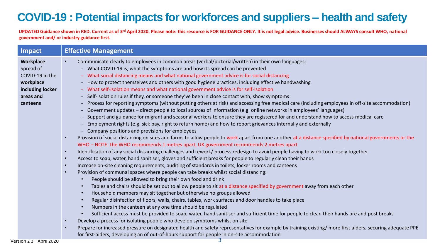# **COVID-19 : Potential impacts for workforces and suppliers – health and safety**

| Impact                                                                                                      | <b>Effective Management</b>                                                                                                                                                                                                                                                                                                                                                                                                                                                                                                                                                                                                                                                                                                                                                                                                                                                                                                                                                                                                                                                                                                                                                                                                                                                                                                                                                                                                                                                       |
|-------------------------------------------------------------------------------------------------------------|-----------------------------------------------------------------------------------------------------------------------------------------------------------------------------------------------------------------------------------------------------------------------------------------------------------------------------------------------------------------------------------------------------------------------------------------------------------------------------------------------------------------------------------------------------------------------------------------------------------------------------------------------------------------------------------------------------------------------------------------------------------------------------------------------------------------------------------------------------------------------------------------------------------------------------------------------------------------------------------------------------------------------------------------------------------------------------------------------------------------------------------------------------------------------------------------------------------------------------------------------------------------------------------------------------------------------------------------------------------------------------------------------------------------------------------------------------------------------------------|
| <b>Workplace:</b><br>Spread of<br>COVID-19 in the<br>workplace<br>including locker<br>areas and<br>canteens | Communicate clearly to employees in common areas (verbal/pictorial/written) in their own languages;<br>- What COVID-19 is, what the symptoms are and how its spread can be prevented<br>What social distancing means and what national government advice is for social distancing<br>How to protect themselves and others with good hygiene practices, including effective handwashing<br>$\sim$<br>What self-isolation means and what national government advice is for self-isolation<br>Self-isolation rules if they, or someone they've been in close contact with, show symptoms<br>Process for reporting symptoms (without putting others at risk) and accessing free medical care (including employees in off-site accommodation)<br>Government updates - direct people to local sources of information (e.g. online networks in employees' languages)<br>Support and guidance for migrant and seasonal workers to ensure they are registered for and understand how to access medical care<br>Employment rights (e.g. sick pay, right to return home) and how to report grievances internally and externally<br>Company positions and provisions for employees<br>Provision of social distancing on sites and farms to allow people to work apart from one another at a distance specified by national governments or the                                                                                                                                                 |
|                                                                                                             | WHO - NOTE: the WHO recommends 1 metres apart, UK government recommends 2 metres apart<br>Identification of any social distancing challenges and rework/ process redesign to avoid people having to work too closely together<br>$\bullet$<br>Access to soap, water, hand sanitiser, gloves and sufficient breaks for people to regularly clean their hands<br>Increase on-site cleaning requirements, auditing of standards in toilets, locker rooms and canteens<br>Provision of communal spaces where people can take breaks whilst social distancing:<br>People should be allowed to bring their own food and drink<br>Tables and chairs should be set out to allow people to sit at a distance specified by government away from each other<br>Household members may sit together but otherwise no groups allowed<br>Regular disinfection of floors, walls, chairs, tables, work surfaces and door handles to take place<br>Numbers in the canteen at any one time should be regulated<br>Sufficient access must be provided to soap, water, hand sanitiser and sufficient time for people to clean their hands pre and post breaks<br>Develop a process for isolating people who develop symptoms whilst on site<br>Prepare for increased pressure on designated health and safety representatives for example by training existing/more first aiders, securing adequate PPE<br>for first-aiders, developing an of out-of-hours support for people in on-site accommodation |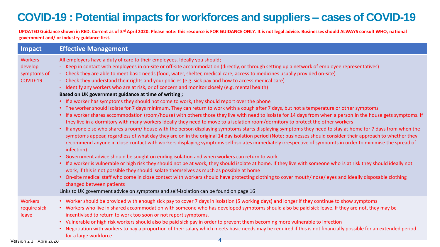# **COVID-19 : Potential impacts for workforces and suppliers – cases of COVID-19**

| Impact                                                             | <b>Effective Management</b>                                                                                                                                                                                                                                                                                                                                                                                                                                                                                                                                                                                                                                                                                                                                                                                                                                                                                                                                                                                                                                                                                                                                                                                                                                                                                                                                                                                                                                                                                                                                                                                                                                                                                                                                                                                                                                                                                                                                                                                                                                                                                                                                                                                                                                                                                                           |
|--------------------------------------------------------------------|---------------------------------------------------------------------------------------------------------------------------------------------------------------------------------------------------------------------------------------------------------------------------------------------------------------------------------------------------------------------------------------------------------------------------------------------------------------------------------------------------------------------------------------------------------------------------------------------------------------------------------------------------------------------------------------------------------------------------------------------------------------------------------------------------------------------------------------------------------------------------------------------------------------------------------------------------------------------------------------------------------------------------------------------------------------------------------------------------------------------------------------------------------------------------------------------------------------------------------------------------------------------------------------------------------------------------------------------------------------------------------------------------------------------------------------------------------------------------------------------------------------------------------------------------------------------------------------------------------------------------------------------------------------------------------------------------------------------------------------------------------------------------------------------------------------------------------------------------------------------------------------------------------------------------------------------------------------------------------------------------------------------------------------------------------------------------------------------------------------------------------------------------------------------------------------------------------------------------------------------------------------------------------------------------------------------------------------|
| <b>Workers</b><br>develop<br>symptoms of<br>COVID-19               | All employers have a duty of care to their employees. Ideally you should;<br>Keep in contact with employees in on-site or off-site accommodation (directly, or through setting up a network of employee representatives)<br>- Check they are able to meet basic needs (food, water, shelter, medical care, access to medicines usually provided on-site)<br>- Check they understand their rights and your policies (e.g. sick pay and how to access medical care)<br>- Identify any workers who are at risk, or of concern and monitor closely (e.g. mental health)<br>Based on UK government guidance at time of writing;<br>• If a worker has symptoms they should not come to work, they should report over the phone<br>• The worker should isolate for 7 days minimum. They can return to work with a cough after 7 days, but not a temperature or other symptoms<br>• If a worker shares accommodation (room/house) with others those they live with need to isolate for 14 days from when a person in the house gets symptoms. If<br>they live in a dormitory with many workers ideally they need to move to a isolation room/dormitory to protect the other workers<br>• If anyone else who shares a room/ house with the person displaying symptoms starts displaying symptoms they need to stay at home for 7 days from when the<br>symptoms appear, regardless of what day they are on in the original 14 day isolation period (Note: businesses should consider their approach to whether they<br>recommend anyone in close contact with workers displaying symptoms self-isolates immediately irrespective of sympomts in order to minimise the spread of<br>infection)<br>• Government advice should be sought on ending isolation and when workers can return to work<br>• If a worker is vulnerable or high risk they should not be at work, they should isolate at home. If they live with someone who is at risk they should ideally not<br>work, if this is not possible they should isolate themselves as much as possible at home<br>• On-site medical staff who come in close contact with workers should have protecting clothing to cover mouth/nose/eyes and ideally disposable clothing<br>changed between patients<br>Links to UK government advice on symptoms and self-isolation can be found on page 16 |
| <b>Workers</b><br>require sick<br>leave<br>וולות ווזחם ייד ל-חחוז' | • Worker should be provided with enough sick pay to cover 7 days in isolation (5 working days) and longer if they continue to show symptoms<br>• Workers who live in shared accommodation with someone who has developed symptoms should also be paid sick leave. If they are not, they may be<br>incentivised to return to work too soon or not report symptoms.<br>• Vulnerable or high risk workers should also be paid sick pay in order to prevent them becoming more vulnerable to infection<br>• Negotiation with workers to pay a proportion of their salary which meets basic needs may be required if this is not financially possible for an extended period<br>for a large workforce<br>$\overline{4}$                                                                                                                                                                                                                                                                                                                                                                                                                                                                                                                                                                                                                                                                                                                                                                                                                                                                                                                                                                                                                                                                                                                                                                                                                                                                                                                                                                                                                                                                                                                                                                                                                    |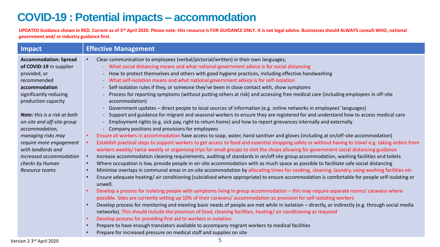### **COVID-19 : Potential impacts – accommodation**

**UPDATED Guidance shown in RED. Current as of 3rd April 2020. Please note: this resource is FOR GUIDANCE ONLY. It is not legal advice. Businesses should ALWAYS consult WHO, national government and/ or industry guidance first.** 

| Impact                                        | <b>Effective Management</b>                                                                                                                            |
|-----------------------------------------------|--------------------------------------------------------------------------------------------------------------------------------------------------------|
| <b>Accommodation: Spread</b>                  | Clear communication to employees (verbal/pictorial/written) in their own languages;                                                                    |
| of COVID-19 in supplier                       | - What social distancing means and what national government advice is for social distancing                                                            |
| provided, or                                  | - How to protect themselves and others with good hygiene practices, including effective handwashing                                                    |
| recommended                                   | - What self-isolation means and what national government advice is for self-isolation                                                                  |
| accommodation                                 | - Self-isolation rules if they, or someone they've been in close contact with, show symptoms                                                           |
| significantly reducing<br>production capacity | - Process for reporting symptoms (without putting others at risk) and accessing free medical care (including employees in off-site<br>accommodation)   |
|                                               | - Government updates – direct people to local sources of information (e.g. online networks in employees' languages)                                    |
| <b>Note:</b> this is a risk at both           | - Support and guidance for migrant and seasonal workers to ensure they are registered for and understand how to access medical care                    |
| on-site and off-site group                    | - Employment rights (e.g. sick pay, right to return home) and how to report grievances internally and externally                                       |
| accommodation,                                | - Company positions and provisions for employees                                                                                                       |
| managing risks may                            | Ensure all workers in accommodation have access to soap, water, hand sanitiser and gloves (including at on/off-site accommodation)                     |
| require more engagement                       | Establish practical steps to support workers to get access to food and essential shopping safely or without having to travel e.g. taking orders from   |
| with landlords and                            | workers weekly/ twice weekly or organising trips for small groups to visit the shops allowing for government social distancing guidance                |
| increased accommodation                       | Increase accommodation cleaning requirements, auditing of standards in on/off site group accommodation, washing facilities and toilets                 |
| checks by Human                               | Where occupation is low, provide people in on-site accommodation with as much space as possible to facilitate safe social distancing                   |
| Resource teams                                | Minimise overlaps in communal areas in on-site accommodation by allocating times for cooking, cleaning, laundry, using washing facilities etc          |
|                                               | Ensure adequate heating/air conditioning (subsidised where appropriate) to ensure accommodation is comfortable for people self-isolating or<br>unwell. |
|                                               | Develop a process for isolating people with symptoms living in group accommodation - this may require separate rooms/ caravans where                   |
|                                               | possible. Sites are currently setting up 10% of their caravans/accommodation as provision for self-isolating workers                                   |
|                                               | Develop process for monitoring and meeting basic needs of people are met while in isolation - directly, or indirectly (e.g. through social media       |
|                                               | networks). This should include the provision of food, cleaning facilities, heating/air conditioning as required                                        |
|                                               | Develop process for providing first aid to workers in isolation                                                                                        |
|                                               | Prepare to have enough translators available to accompany migrant workers to medical facilities                                                        |

• Prepare for increased pressure on medical staff and supplies on site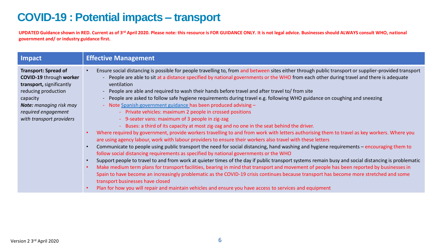## **COVID-19 : Potential impacts – transport**

| Impact                                                                                                                                                                                                            |
|-------------------------------------------------------------------------------------------------------------------------------------------------------------------------------------------------------------------|
| <b>Transport: Spread of</b><br><b>COVID-19 through worker</b><br>transport, significantly<br>reducing production<br>capacity<br><b>Note:</b> managing risk may<br>required engagement<br>with transport providers |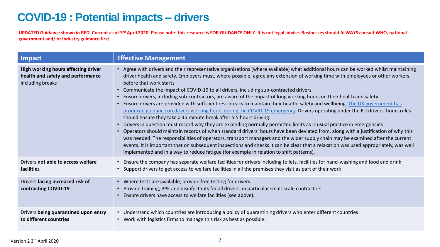# **COVID-19 : Potential impacts – drivers**

| Impact                                                                                       | <b>Effective Management</b>                                                                                                                                                                                                                                                                                                                                                                                                                                                                                                                                                                                                                                                                                                                                                                                                                                                                                                                                                                                                                                                                                                                                                                                                                                                                                                                                                                                                                                                                              |
|----------------------------------------------------------------------------------------------|----------------------------------------------------------------------------------------------------------------------------------------------------------------------------------------------------------------------------------------------------------------------------------------------------------------------------------------------------------------------------------------------------------------------------------------------------------------------------------------------------------------------------------------------------------------------------------------------------------------------------------------------------------------------------------------------------------------------------------------------------------------------------------------------------------------------------------------------------------------------------------------------------------------------------------------------------------------------------------------------------------------------------------------------------------------------------------------------------------------------------------------------------------------------------------------------------------------------------------------------------------------------------------------------------------------------------------------------------------------------------------------------------------------------------------------------------------------------------------------------------------|
| High working hours affecting driver<br>health and safety and performance<br>including breaks | • Agree with drivers and their representative organisations (where available) what additional hours can be worked whilst maintaining<br>driver health and safety. Employers must, where possible, agree any extension of working time with employees or other workers,<br>before that work starts<br>Communicate the impact of COVID-19 to all drivers, including sub-contracted drivers<br>$\bullet$<br>Ensure drivers, including sub-contractors, are aware of the impact of long working hours on their health and safety<br>Ensure drivers are provided with sufficient rest breaks to maintain their health, safety and wellbeing. The UK government has<br>produced guidance on drivers working hours during the COVID-19 emergency. Drivers operating under the EU drivers' hours rules<br>should ensure they take a 45 minute break after 5.5 hours driving.<br>Drivers in question must record why they are exceeding normally permitted limits as is usual practice in emergencies<br>• Operators should maintain records of when standard drivers' hours have been deviated from, along with a justification of why this<br>was needed. The responsibilities of operators, transport managers and the wider supply chain may be examined after the current<br>events. It is important that on subsequent inspections and checks it can be clear that a relaxation was used appropriately, was well<br>implemented and in a way to reduce fatigue (for example in relation to shift patterns). |
| Drivers not able to access welfare<br>facilities                                             | • Ensure the company has separate welfare facilities for drivers including toilets, facilities for hand-washing and food and drink<br>• Support drivers to get access to welfare facilities in all the premises they visit as part of their work                                                                                                                                                                                                                                                                                                                                                                                                                                                                                                                                                                                                                                                                                                                                                                                                                                                                                                                                                                                                                                                                                                                                                                                                                                                         |
| Drivers facing increased risk of<br>contracting COVID-19                                     | • Where tests are available, provide free testing for drivers<br>Provide training, PPE and disinfectants for all drivers, in particular small-scale contractors<br>Ensure drivers have access to welfare facilities (see above).                                                                                                                                                                                                                                                                                                                                                                                                                                                                                                                                                                                                                                                                                                                                                                                                                                                                                                                                                                                                                                                                                                                                                                                                                                                                         |
| Drivers being quarantined upon entry<br>to different countries                               | • Understand which countries are introducing a policy of quarantining drivers who enter different countries<br>• Work with logistics firms to manage this risk as best as possible.                                                                                                                                                                                                                                                                                                                                                                                                                                                                                                                                                                                                                                                                                                                                                                                                                                                                                                                                                                                                                                                                                                                                                                                                                                                                                                                      |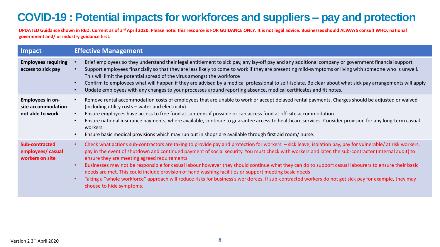# **COVID-19 : Potential impacts for workforces and suppliers – pay and protection**

| Impact                                                     | <b>Effective Management</b>                                                                                                                                                                                                                                                                                                                                                                                                                                                                                                                                                                                                                                                                                                                                                                                                       |
|------------------------------------------------------------|-----------------------------------------------------------------------------------------------------------------------------------------------------------------------------------------------------------------------------------------------------------------------------------------------------------------------------------------------------------------------------------------------------------------------------------------------------------------------------------------------------------------------------------------------------------------------------------------------------------------------------------------------------------------------------------------------------------------------------------------------------------------------------------------------------------------------------------|
| <b>Employees requiring</b><br>access to sick pay           | Brief employees so they understand their legal entitlement to sick pay, any lay-off pay and any additional company or government financial support<br>$\bullet$<br>Support employees financially so that they are less likely to come to work if they are presenting mild-symptoms or living with someone who is unwell.<br>$\bullet$<br>This will limit the potential spread of the virus amongst the workforce<br>Confirm to employees what will happen if they are advised by a medical professional to self-isolate. Be clear about what sick pay arrangements will apply<br>$\bullet$<br>Update employees with any changes to your processes around reporting absence, medical certificates and fit notes.                                                                                                                   |
| Employees in on-<br>site accommodation<br>not able to work | Remove rental accommodation costs of employees that are unable to work or accept delayed rental payments. Charges should be adjusted or waived<br>$\bullet$<br>(including utility costs – water and electricity)<br>Ensure employees have access to free food at canteens if possible or can access food at off-site accommodation<br>$\bullet$<br>Ensure national insurance payments, where available, continue to guarantee access to healthcare services. Consider provision for any long-term casual<br>$\bullet$<br>workers<br>Ensure basic medical provisions which may run out in shops are available through first aid room/nurse.                                                                                                                                                                                        |
| Sub-contracted<br>employees/ casual<br>workers on site     | Check what actions sub-contractors are taking to provide pay and protection for workers – sick leave, isolation pay, pay for vulnerable/ at risk workers,<br>$\bullet$<br>pay in the event of shutdown and continued payment of social security. You must check with workers and later, the sub-contractor (internal audit) to<br>ensure they are meeting agreed requirements<br>Businesses may not be responsible for casual labour however they should continue what they can do to support casual labourers to ensure their basic<br>needs are met. This could include provision of hand washing facilities or support meeting basic needs<br>Taking a "whole workforce" approach will reduce risks for business's workforces. If sub-contracted workers do not get sick pay for example, they may<br>choose to hide symptoms. |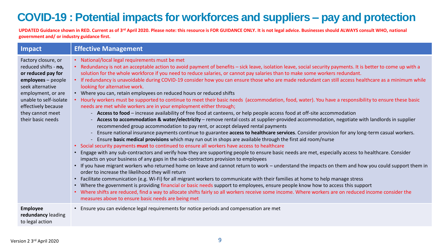# **COVID-19 : Potential impacts for workforces and suppliers – pay and protection**

| Impact                                                                                                                                                                                                                      | <b>Effective Management</b>                                                                                                                                                                                                                                                                                                                                                                                                                                                                                                                                                                                                                                                                                                                                                                                                                                                                                                                                                                                                                                                                                                                                                                                                                                                                                                                                                                                                                                                                                                                                                                                                                                                                                                                                                                                                                                                                                                                                                                                                                                                                                                                                                                                                                                                                                                                                                                                                                                                                                        |
|-----------------------------------------------------------------------------------------------------------------------------------------------------------------------------------------------------------------------------|--------------------------------------------------------------------------------------------------------------------------------------------------------------------------------------------------------------------------------------------------------------------------------------------------------------------------------------------------------------------------------------------------------------------------------------------------------------------------------------------------------------------------------------------------------------------------------------------------------------------------------------------------------------------------------------------------------------------------------------------------------------------------------------------------------------------------------------------------------------------------------------------------------------------------------------------------------------------------------------------------------------------------------------------------------------------------------------------------------------------------------------------------------------------------------------------------------------------------------------------------------------------------------------------------------------------------------------------------------------------------------------------------------------------------------------------------------------------------------------------------------------------------------------------------------------------------------------------------------------------------------------------------------------------------------------------------------------------------------------------------------------------------------------------------------------------------------------------------------------------------------------------------------------------------------------------------------------------------------------------------------------------------------------------------------------------------------------------------------------------------------------------------------------------------------------------------------------------------------------------------------------------------------------------------------------------------------------------------------------------------------------------------------------------------------------------------------------------------------------------------------------------|
| Factory closure, or<br>reduced shifts - no,<br>or reduced pay for<br>employees - people<br>seek alternative<br>employment, or are<br>unable to self-isolate<br>effectively because<br>they cannot meet<br>their basic needs | • National/local legal requirements must be met<br>Redundancy is not an acceptable action to avoid payment of benefits - sick leave, isolation leave, social security payments. It is better to come up with a<br>solution for the whole workforce if you need to reduce salaries, or cannot pay salaries than to make some workers redundant.<br>If redundancy is unavoidable during COVID-19 consider how you can ensure those who are made redundant can still access healthcare as a minimum while<br>looking for alternative work.<br>Where you can, retain employees on reduced hours or reduced shifts<br>Hourly workers must be supported to continue to meet their basic needs (accommodation, food, water). You have a responsibility to ensure these basic<br>needs are met while workers are in your employment either through;<br>Access to food - increase availability of free food at canteens, or help people access food at off-site accommodation<br>Access to accommodation & water/electricity - remove rental costs at supplier-provided accommodation, negotiate with landlords in supplier<br>recommended group accommodation to pay rent, or accept delayed rental payments<br>Ensure national insurance payments continue to guarantee access to healthcare services. Consider provision for any long-term casual workers.<br>Ensure basic medical provisions which may run out in shops are available through the first aid room/nurse<br>• Social security payments must to continued to ensure all workers have access to healthcare<br>Engage with any sub-contractors and verify how they are supporting people to ensure basic needs are met, especially access to healthcare. Consider<br>impacts on your business of any gaps in the sub-contractors provision to employees<br>• If you have migrant workers who returned home on leave and cannot return to work – understand the impacts on them and how you could support them in<br>order to increase the likelihood they will return<br>• Facilitate communication (e.g. Wi-Fi) for all migrant workers to communicate with their families at home to help manage stress<br>• Where the government is providing financial or basic needs support to employees, ensure people know how to access this support<br>• Where shifts are reduced, find a way to allocate shifts fairly so all workers receive some income. Where workers are on reduced income consider the<br>measures above to ensure basic needs are being met |
| <b>Employee</b><br>redundancy leading<br>to legal action                                                                                                                                                                    | • Ensure you can evidence legal requirements for notice periods and compensation are met                                                                                                                                                                                                                                                                                                                                                                                                                                                                                                                                                                                                                                                                                                                                                                                                                                                                                                                                                                                                                                                                                                                                                                                                                                                                                                                                                                                                                                                                                                                                                                                                                                                                                                                                                                                                                                                                                                                                                                                                                                                                                                                                                                                                                                                                                                                                                                                                                           |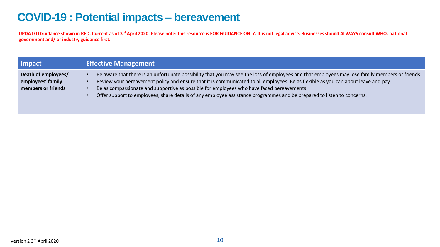### **COVID-19 : Potential impacts – bereavement**

| Impact                                                         | <b>Effective Management</b>                                                                                                                                                                                                                                                                                                                                                                                                                                                                               |
|----------------------------------------------------------------|-----------------------------------------------------------------------------------------------------------------------------------------------------------------------------------------------------------------------------------------------------------------------------------------------------------------------------------------------------------------------------------------------------------------------------------------------------------------------------------------------------------|
| Death of employees/<br>employees' family<br>members or friends | Be aware that there is an unfortunate possibility that you may see the loss of employees and that employees may lose family members or friends<br>Review your bereavement policy and ensure that it is communicated to all employees. Be as flexible as you can about leave and pay<br>Be as compassionate and supportive as possible for employees who have faced bereavements<br>Offer support to employees, share details of any employee assistance programmes and be prepared to listen to concerns. |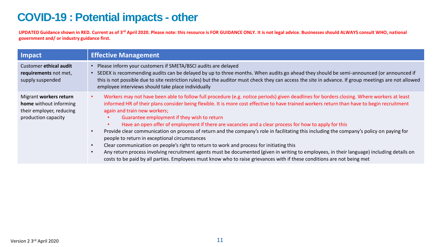### **COVID-19 : Potential impacts - other**

| Impact                                                                                              | <b>Effective Management</b>                                                                                                                                                                                                                                                                                                                                                                                                                                                                                                                                                                                                                                                                                                                                                                                                                                                                                                                                                                                                                        |
|-----------------------------------------------------------------------------------------------------|----------------------------------------------------------------------------------------------------------------------------------------------------------------------------------------------------------------------------------------------------------------------------------------------------------------------------------------------------------------------------------------------------------------------------------------------------------------------------------------------------------------------------------------------------------------------------------------------------------------------------------------------------------------------------------------------------------------------------------------------------------------------------------------------------------------------------------------------------------------------------------------------------------------------------------------------------------------------------------------------------------------------------------------------------|
| Customer ethical audit<br>requirements not met,<br>supply suspended                                 | Please inform your customers if SMETA/BSCI audits are delayed<br>SEDEX is recommending audits can be delayed by up to three months. When audits go ahead they should be semi-announced (or announced if<br>this is not possible due to site restriction rules) but the auditor must check they can access the site in advance. If group meetings are not allowed<br>employee interviews should take place individually                                                                                                                                                                                                                                                                                                                                                                                                                                                                                                                                                                                                                             |
| Migrant workers return<br>home without informing<br>their employer, reducing<br>production capacity | Workers may not have been able to follow full procedure (e.g. notice periods) given deadlines for borders closing. Where workers at least<br>informed HR of their plans consider being flexible. It is more cost effective to have trained workers return than have to begin recruitment<br>again and train new workers;<br>Guarantee employment if they wish to return<br>Have an open offer of employment if there are vacancies and a clear process for how to apply for this<br>Provide clear communication on process of return and the company's role in facilitating this including the company's policy on paying for<br>people to return in exceptional circumstances<br>Clear communication on people's right to return to work and process for initiating this<br>Any return process involving recruitment agents must be documented (given in writing to employees, in their language) including details on<br>costs to be paid by all parties. Employees must know who to raise grievances with if these conditions are not being met |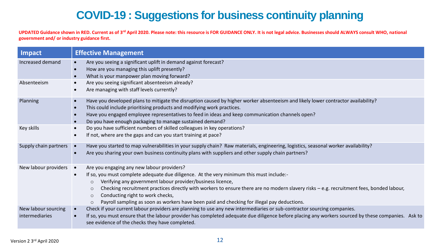# **COVID-19 : Suggestions for business continuity planning**

| Impact                                | <b>Effective Management</b>                                                                                                                                                                                                                                                                                                                                                                                                                                                                                                     |
|---------------------------------------|---------------------------------------------------------------------------------------------------------------------------------------------------------------------------------------------------------------------------------------------------------------------------------------------------------------------------------------------------------------------------------------------------------------------------------------------------------------------------------------------------------------------------------|
| Increased demand                      | Are you seeing a significant uplift in demand against forecast?<br>$\bullet$<br>How are you managing this uplift presently?<br>What is your manpower plan moving forward?                                                                                                                                                                                                                                                                                                                                                       |
| Absenteeism                           | Are you seeing significant absenteeism already?<br>Are managing with staff levels currently?                                                                                                                                                                                                                                                                                                                                                                                                                                    |
| Planning                              | Have you developed plans to mitigate the disruption caused by higher worker absenteeism and likely lower contractor availability?<br>This could include prioritising products and modifying work practices.<br>Have you engaged employee representatives to feed in ideas and keep communication channels open?<br>Do you have enough packaging to manage sustained demand?                                                                                                                                                     |
| Key skills                            | Do you have sufficient numbers of skilled colleagues in key operations?<br>If not, where are the gaps and can you start training at pace?                                                                                                                                                                                                                                                                                                                                                                                       |
| Supply chain partners •               | Have you started to map vulnerabilities in your supply chain? Raw materials, engineering, logistics, seasonal worker availability?<br>Are you sharing your own business continuity plans with suppliers and other supply chain partners?                                                                                                                                                                                                                                                                                        |
| New labour providers •                | Are you engaging any new labour providers?<br>If so, you must complete adequate due diligence. At the very minimum this must include:-<br>Verifying any government labour provider/business licence,<br>$\circ$<br>Checking recruitment practices directly with workers to ensure there are no modern slavery risks - e.g. recruitment fees, bonded labour,<br>$\circ$<br>Conducting right to work checks,<br>$\circ$<br>Payroll sampling as soon as workers have been paid and checking for illegal pay deductions.<br>$\circ$ |
| New labour sourcing<br>intermediaries | Check if your current labour providers are planning to use any new intermediaries or sub-contractor sourcing companies.<br>If so, you must ensure that the labour provider has completed adequate due diligence before placing any workers sourced by these companies. Ask to<br>see evidence of the checks they have completed.                                                                                                                                                                                                |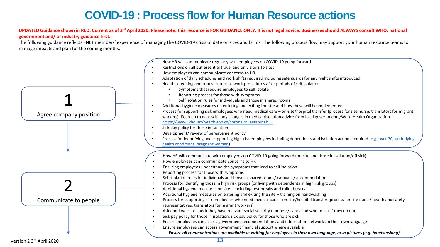## **COVID-19 : Process flow for Human Resource actions**

#### **UPDATED Guidance shown in RED. Current as of 3rd April 2020. Please note: this resource is FOR GUIDANCE ONLY. It is not legal advice. Businesses should ALWAYS consult WHO, national government and/ or industry guidance first.**

The following guidance reflects FNET members' experience of managing the COVID-19 crisis to date on sites and farms. The following process flow may support your human resource teams to manage impacts and plan for the coming months.

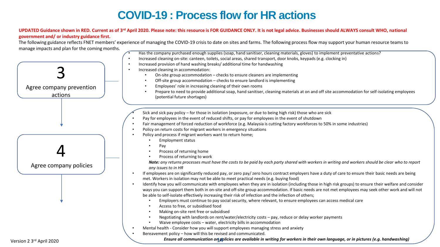# **COVID-19 : Process flow for HR actions**

#### **UPDATED Guidance shown in RED. Current as of 3rd April 2020. Please note: this resource is FOR GUIDANCE ONLY. It is not legal advice. Businesses should ALWAYS consult WHO, national government and/ or industry guidance first.**

The following guidance reflects FNET members' experience of managing the COVID-19 crisis to date on sites and farms. The following process flow may support your human resource teams to manage impacts and plan for the coming months.

- Has the company purchased enough supplies (soap, hand sanitiser, cleaning materials, gloves) to implement preventative actions?
- Increased cleaning on-site: canteen, toilets, social areas, shared transport, door knobs, keypads (e.g. clocking in)
- Increased provision of hand washing breaks/ additional time for handwashing
- Increased cleaning in accommodation:
	- On-site group accommodation checks to ensure cleaners are implementing
	- Off-site group accommodation checks to ensure landlord is implementing
	- Employees' role in increasing cleaning of their own rooms
	- Prepare to need to provide additional soap, hand sanitiser, cleaning materials at on and off site accommodation for self-isolating employees (potential future shortages)
	- Sick and sick pay policy for those in isolation (exposure, or due to being high risk) those who are sick
- Pay for employees in the event of reduced shifts, or pay for employees in the event of shutdown
- Fair management of forced reduction of workforce (e.g. Malaysia is cutting factory workforces to 50% in some industries)
- Policy on return costs for migrant workers in emergency situations
- Policy and process if migrant workers want to return home;
	- Employment status
	- Pay
	- Process of returning home
	- Process of returning to work

*Note: any returns processes must have the costs to be paid by each party shared with workers in writing and workers should be clear who to report any issues to in HR*

- If employees are on significantly reduced pay, or zero pay/ zero hours contract employers have a duty of care to ensure their basic needs are being met. Workers in isolation may not be able to meet practical needs (e.g. buying food)
- Identify how you will communicate with employees when they are in isolation (including those in high risk groups) to ensure their welfare and consider ways you can support them both in on-site and off-site group accommodation. If basic needs are not met employees may seek other work and will not be able to self-isolate effectively increasing their risk of infection and the infection of others;
	- Employers must continue to pay social security, where relevant, to ensure employees can access medical care
	- Access to free, or subsidised food
	- Making on-site rent free or subsidised
	- Negotiating with landlords on rent/water/electricity costs pay, reduce or delay worker payments
	- Waive employee costs water, electricity bills in accommodation
- Mental health Consider how you will support employees managing stress and anxiety
- Bereavement policy how will this be revised and communicated.

*Ensure all communication on policies are available in writing for workers in their own language, or in pictures (e.g. handwashing)* 

3

Agree company prevention actions

4

Agree company policies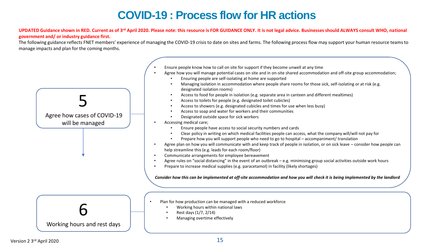# **COVID-19 : Process flow for HR actions**

#### **UPDATED Guidance shown in RED. Current as of 3rd April 2020. Please note: this resource is FOR GUIDANCE ONLY. It is not legal advice. Businesses should ALWAYS consult WHO, national government and/ or industry guidance first.**

The following guidance reflects FNET members' experience of managing the COVID-19 crisis to date on sites and farms. The following process flow may support your human resource teams to manage impacts and plan for the coming months.

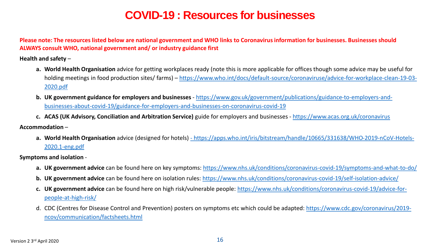### **COVID-19 : Resources for businesses**

**Please note: The resources listed below are national government and WHO links to Coronavirus information for businesses. Businesses should ALWAYS consult WHO, national government and/ or industry guidance first**

**Health and safety** –

- **a. World Health Organisation** advice for getting workplaces ready (note this is more applicable for offices though some advice may be useful for holding meetings in food production sites/ farms) – [https://www.who.int/docs/default-source/coronaviruse/advice-for-workplace-clean-19-03-](https://www.who.int/docs/default-source/coronaviruse/advice-for-workplace-clean-19-03-2020.pdf) 2020.pdf
- **b. UK government guidance for employers and businesses**  https://www.gov.uk/government/publications/guidance-to-employers-and[businesses-about-covid-19/guidance-for-employers-and-businesses-on-coronavirus-covid-19](https://www.gov.uk/government/publications/guidance-to-employers-and-businesses-about-covid-19/guidance-for-employers-and-businesses-on-coronavirus-covid-19)
- **c. ACAS (UK Advisory, Conciliation and Arbitration Service)** guide for employers and businesses <https://www.acas.org.uk/coronavirus>

**Accommodation** –

**a. World Health Organisation** advice (designed for hotels) - [https://apps.who.int/iris/bitstream/handle/10665/331638/WHO-2019-nCoV-Hotels-](https://apps.who.int/iris/bitstream/handle/10665/331638/WHO-2019-nCoV-Hotels-2020.1-eng.pdf)2020.1-eng.pdf

**Symptoms and isolation** -

- **a. UK government advice** can be found here on key symptoms:<https://www.nhs.uk/conditions/coronavirus-covid-19/symptoms-and-what-to-do/>
- **b. UK government advice** can be found here on isolation rules: <https://www.nhs.uk/conditions/coronavirus-covid-19/self-isolation-advice/>
- **c. UK government advice** [can be found here on high risk/vulnerable people: https://www.nhs.uk/conditions/coronavirus-covid-19/advice-for](https://www.nhs.uk/conditions/coronavirus-covid-19/advice-for-people-at-high-risk/)people-at-high-risk/
- d. [CDC \(Centres for Disease Control and Prevention\) posters on symptoms etc which could be adapted: https://www.cdc.gov/coronavirus/2019](https://www.cdc.gov/coronavirus/2019-ncov/communication/factsheets.html) ncov/communication/factsheets.html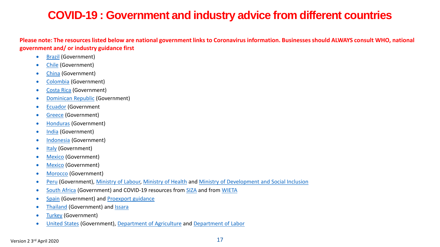# **COVID-19 : Government and industry advice from different countries**

**Please note: The resources listed below are national government links to Coronavirus information. Businesses should ALWAYS consult WHO, national government and/ or industry guidance first**

- [Brazil](https://www.gov.br/planalto/pt-br) (Government)
- [Chile](https://www.gob.cl/coronavirus/plandeaccion/) (Government)
- [China](http://english.www.gov.cn/2020special/5e32830ec6d019625c60433b/fightagainstcoronavirus) (Government)
- [Colombia](https://id.presidencia.gov.co/especiales/200317-medidas-enfrentar-coronavirus/index.html) (Government)
- [Costa Rica](https://www.presidencia.go.cr/comunicados/tag/coronavirus/) (Government)
- [Dominican Republic](http://coronavirusrd.gob.do/) (Government)
- [Ecuador](https://coronavirusecuador.com/) (Government
- [Greece](https://eody.gov.gr/neos-koronaios-covid-19/) (Government)
- [Honduras](https://www.presidencia.gob.hn/index.php/gob/el-presidente/7040-segundo-paquete-de-medidas-economicas-para-garantizar-comida-en-la-mesa-de-cada-hondureno-abastecimiento-de-alimentos-y-apoyo-a-productores) (Government)
- [India](https://www.mygov.in/covid-19/?cbps=1) (Government)
- [Indonesia](https://kemlu.go.id/portal/en/read/1135/siaran_pers/additional-measures-of-the-indonesian-government-in-relation-to-covid-19-response) (Government)
- [Italy](http://www.salute.gov.it/nuovocoronavirus) (Government)
- **[Mexico](https://coronavirus.gob.mx/) (Government)**
- [Mexico](https://coronavirus.gob.mx/) (Government)
- [Morocco](http://www.maroc.ma/en/news/coronavirus-series-measures-salaried-employees-and-companies) (Government)
- [Peru](https://www.gob.pe/8663-ministerio-de-salud-como-prevenir-el-coronavirus) (Government), [Ministry of Labour,](https://www.gob.pe/mtpe) [Ministry of Health](https://www.gob.pe/minsa) and [Ministry of Development and Social Inclusion](https://www.gob.pe/midis)
- [South Africa](https://www.gov.za/Coronavirus) (Government) and COVID-19 resources from [SIZA](https://siza.co.za/covid-19-resources/) and from [WIETA](https://www.wineland.co.za/covid-19/)
- [Spain](https://www.mscbs.gob.es/profesionales/saludPublica/ccayes/alertasActual/nCov-China/ciudadania.htm) (Government) and [Proexport guidance](https://www.proexport.es/coronavirus/protocolo-coronavirus/)
- [Thailand](http://www.mfa.go.th/main/en/news3/10491) (Government) and [Issara](https://www.issarainstitute.org/)
- [Turkey](http://www.mfa.gov.tr/sub.en.mfa?ad9093da-8e71-4678-a1b6-05f297baadc4) (Government)
- [United States](https://www.coronavirus.gov/) (Government), [Department of Agriculture](https://www.usda.gov/coronavirus) and [Department of Labor](https://www.dol.gov/coronavirus)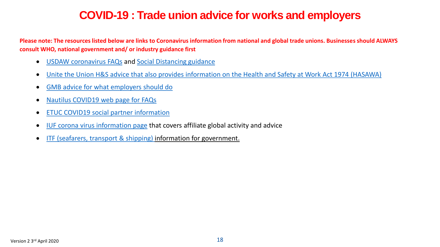### **COVID-19 : Trade union advice for works and employers**

**Please note: The resources listed below are links to Coronavirus information from national and global trade unions. Businesses should ALWAYS consult WHO, national government and/ or industry guidance first**

- [USDAW coronavirus FAQs](https://www.usdaw.org.uk/Help-Advice/Coronavirus-Update/FAQs) and [Social Distancing guidance](https://www.usdaw.org.uk/Help-Advice/Coronavirus-Update/Social-Distancing-in-the-workplace)
- [Unite the Union H&S advice that also provides information on the Health and Safety at Work Act 1974 \(HASAWA\)](https://unitetheunion.org/media/2973/006-unitecoronavirusguide-20-03-25-v9d.pdf)
- [GMB advice for what employers should do](https://www.gmb.org.uk/coronavirus/coronavirus-covid-19-what-members-need-know)
- [Nautilus COVID19 web page for FAQs](https://www.nautilusint.org/en/news-insight/telegraph/nautilus-faqs-on-covid19-coronavirus/)
- [ETUC COVID19 social partner information](https://www.etuc.org/en/trade-unions-and-coronavirus)
- [IUF corona virus information page](http://www.iuf.org/show.php?lang=en&tid=384) that covers affiliate global activity and advice
- [ITF \(seafarers, transport & shipping\) i](https://www.itfseafarers.org/en/news/covid-19-itf-global-demands-governments-and-employers)nformation for government.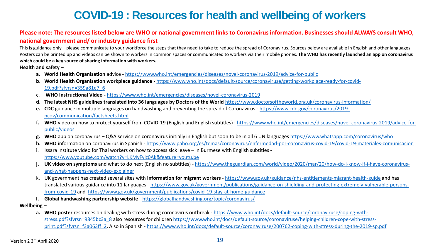### **COVID-19 : Resources for health and wellbeing of workers**

### **Please note: The resources listed below are WHO or national government links to Coronavirus information. Businesses should ALWAYS consult WHO, national government and/ or industry guidance first**

This is guidance only – please communicate to your workforce the steps that they need to take to reduce the spread of Coronavirus. Sources below are available in English and other languages. Posters can be printed up and videos can be shown to workers in common spaces or communicated to workers via their mobile phones. **The WHO has recently launched an app on coronavirus which could be a key source of sharing information with workers.** 

**Health and safety** –

- **a. World Health Organisation** advice <https://www.who.int/emergencies/diseases/novel-coronavirus-2019/advice-for-public>
- **b. World Health Organisation workplace guidance**  [https://www.who.int/docs/default-source/coronaviruse/getting-workplace-ready-for-covid-](https://www.who.int/docs/default-source/coronaviruse/getting-workplace-ready-for-covid-19.pdf?sfvrsn=359a81e7_6)19.pdf?sfvrsn=359a81e7\_6
- c. **WHO Instructional Video -** <https://www.who.int/emergencies/diseases/novel-coronavirus-2019>
- **d. The latest NHS guidelines translated into 36 languages by Doctors of the World** <https://www.doctorsoftheworld.org.uk/coronavirus-information/>
- **e. CDC** [guidance in multiple languages on handwashing and preventing the spread of Coronavirus -](https://www.cdc.gov/coronavirus/2019-ncov/communication/factsheets.html) https://www.cdc.gov/coronavirus/2019 ncov/communication/factsheets.html
- **f. WHO** video on how to protect yourself from COVID-19 (English and English subtitles) [https://www.who.int/emergencies/diseases/novel-coronavirus-2019/advice-for](https://www.who.int/emergencies/diseases/novel-coronavirus-2019/advice-for-public/videos)public/videos
- **g. WHO** app on coronavirus Q&A service on coronavirus initially in English but soon to be in all 6 UN languages<https://www.whatsapp.com/coronavirus/who>
- **h. WHO** information on coronavirus in Spanish <https://www.paho.org/es/temas/coronavirus/enfermedad-por-coronavirus-covid-19/covid-19-materiales-comunicacion>
- i. Issara institute video for Thai workers on how to access sick leave in Burmese with English subtitles <https://www.youtube.com/watch?v=LKMyFylz0Ak&feature=youtu.be>
- j. UK video on symptoms and what to do next (English no subtitles) [https://www.theguardian.com/world/video/2020/mar/20/how-do-i-know-if-i-have-coronavirus](https://www.theguardian.com/world/video/2020/mar/20/how-do-i-know-if-i-have-coronavirus-and-what-happens-next-video-explainer)and-what-happens-next-video-explainer
- k. UK government has created several sites with **information for migrant workers** <https://www.gov.uk/guidance/nhs-entitlements-migrant-health-guide> and has translated various guidance into 11 languages - [https://www.gov.uk/government/publications/guidance-on-shielding-and-protecting-extremely-vulnerable-persons](https://www.gov.uk/government/publications/guidance-on-shielding-and-protecting-extremely-vulnerable-persons-from-covid-19)from-covid-19 and <https://www.gov.uk/government/publications/covid-19-stay-at-home-guidance>
- **l. Global handwashing partnership website**  <https://globalhandwashing.org/topic/coronavirus/>

**Wellbeing** –

a. WHO poster resources on dealing with stress during coronavirus outbreak - https://www.who.int/docs/default-source/coronaviruse/coping-withstress.pdf?sfvrsn=9845bc3a\_8 [also resources for children https://www.who.int/docs/default-source/coronaviruse/helping-children-cope-with-stress](https://www.who.int/docs/default-source/coronaviruse/helping-children-cope-with-stress-print.pdf?sfvrsn=f3a063ff_2)print.pdf?sfvrsn=f3a063ff\_2. Also in Spanish - <https://www.who.int/docs/default-source/coronaviruse/200762-coping-with-stress-during-the-2019-sp.pdf>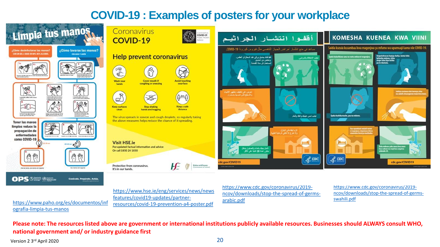### **COVID-19 : Examples of posters for your workplace**



[https://www.paho.org/es/documentos/inf](https://www.paho.org/es/documentos/infografia-limpia-tus-manos) ografia-limpia-tus-manos

[https://www.hse.ie/eng/services/news/news](https://www.hse.ie/eng/services/news/newsfeatures/covid19-updates/partner-resources/covid-19-prevention-a4-poster.pdf) features/covid19-updates/partnerresources/covid-19-prevention-a4-poster.pdf

https://www.cdc.gov/coronavirus/2019 [ncov/downloads/stop-the-spread-of-germs](https://www.cdc.gov/coronavirus/2019-ncov/downloads/stop-the-spread-of-germs-arabic.pdf)arabic.pdf

https://www.cdc.gov/coronavirus/2019 [ncov/downloads/stop-the-spread-of-germs](https://www.cdc.gov/coronavirus/2019-ncov/downloads/stop-the-spread-of-germs-swahili.pdf)swahili.pdf

**Please note: The resources listed above are government or international institutions publicly available resources. Businesses should ALWAYS consult WHO, national government and/ or industry guidance first**

Version 2 3rd April 2020